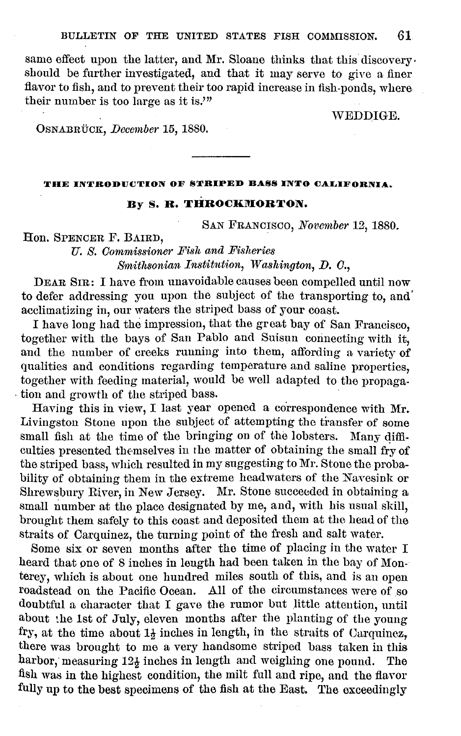same effect upon the latter, and Mr. Sloane thinks that this discovery' should be further investigated, and that it may serve to give a finer flavor to fish, and to prevent their too rapid increase in fish-ponds, where their number is too large as it is."'

WEDDIGE.

OSNABRUCII, *Deceinber* **16,** lSS0.

## **TIIE INTRODUCTION OW STRIPED BASS INTO CALIFORNIA. BY** *s.* **R. THROCHRIORTON.**

SAN FRANCISCO, *November* 12, 1880.

## Hon. SPENCER F. BAIRD,

*u.* 8. *Commissioner Fish and Fisheries Smithsonian Institution, Washington, D. C.,* 

DEAR SIR : I have from unavoidable causes been compelled until now to defer addressing you upon the subject of the transporting to, and' acclimatizing in, our waters the striped bass of your coast.

I have long had the impression, that the groat bay of San Francisco, together with the bays of San Pablo and Suisun connecting with it, and the number of creeks running into them, affording a variety of qualities and conditions regarding temperature and saline properties, together with feeding material, would be well adapted to tho propagation and growth of the striped bass.

Having this in view, I last year opened a correspondence with Mr. Livingston Stone upon the subject of attempting the transfer of some small fish at the time of the bringing on of the lobsters. Many difficulties presented themselves in the matter of obtaining the small fry of the striped bass, which resulted in my suggesting to Mr. Stone the probability of obtaining them in the extreme headwaters of the Navesink or Shrewsbury River, in New Jersey. Mr. Stone sncceeded in obtaining **a**  small number at the place designated by me, and, with his usual skill, brought them safely to this coast and deposited them at the head of the straits of Carquinez, the turning point of *tihe* fresh **and** salt water.

Some six or seven months after the time of placing in the water I heard that one of *8* inches in length had been taken in tho bay of Monterey, which is about one hundred miles south of this, and is an open roadstead on the Pacific Ocean. All of the circumstances were of so doubtful a character that I gave the rumor but little attention, until about the 1st of July, eleven months after the planting of the young fry, at the time about  $1\frac{1}{2}$  inches in length, in the straits of Carquinez, there **was** brought to me **a** very handsomc striped bass taken in this harbor, measuring **12g** inches in length **and** weighing one pound. The fish was in the highest condition, the milt full and ripe, and the flavor **fully** up to tho best specimens of the fish at the East. **The** oxceedingly